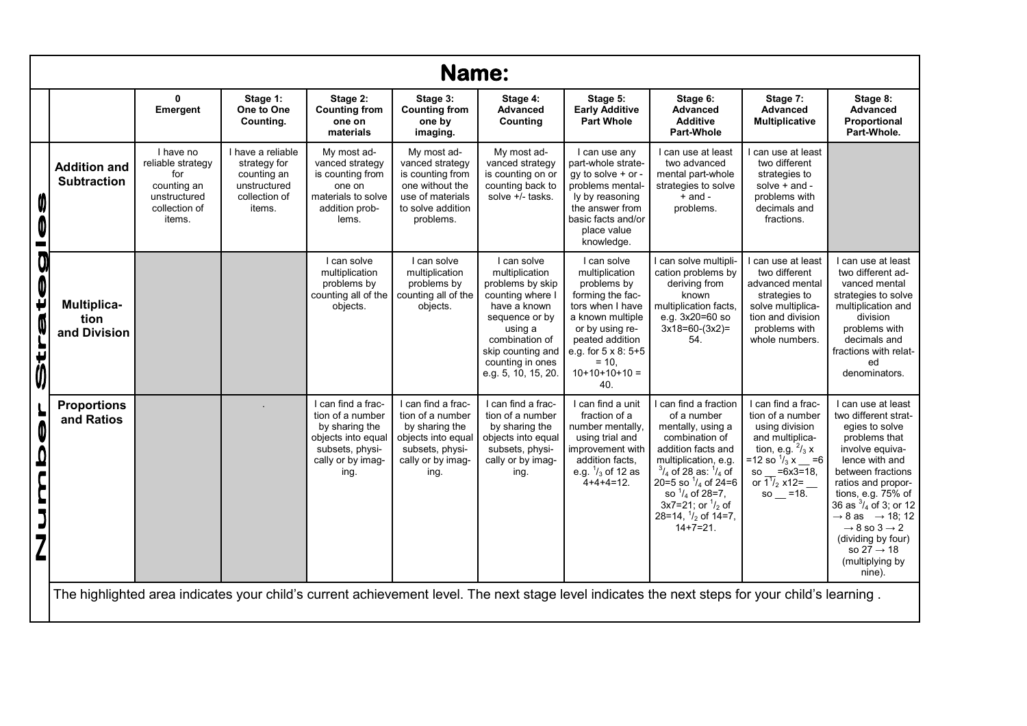| <b>Name:</b>                                     |                                            |                                                                                                 |                                                                                             |                                                                                                                                |                                                                                                                                |                                                                                                                                                                                                      |                                                                                                                                                                                                            |                                                                                                                                                                                                                                                                                                                 |                                                                                                                                                                                                                           |                                                                                                                                                                                                                                                                                                                                                                                      |  |
|--------------------------------------------------|--------------------------------------------|-------------------------------------------------------------------------------------------------|---------------------------------------------------------------------------------------------|--------------------------------------------------------------------------------------------------------------------------------|--------------------------------------------------------------------------------------------------------------------------------|------------------------------------------------------------------------------------------------------------------------------------------------------------------------------------------------------|------------------------------------------------------------------------------------------------------------------------------------------------------------------------------------------------------------|-----------------------------------------------------------------------------------------------------------------------------------------------------------------------------------------------------------------------------------------------------------------------------------------------------------------|---------------------------------------------------------------------------------------------------------------------------------------------------------------------------------------------------------------------------|--------------------------------------------------------------------------------------------------------------------------------------------------------------------------------------------------------------------------------------------------------------------------------------------------------------------------------------------------------------------------------------|--|
|                                                  |                                            | $\mathbf 0$<br>Emergent                                                                         | Stage 1:<br>One to One<br>Counting.                                                         | Stage 2:<br><b>Counting from</b><br>one on<br>materials                                                                        | Stage 3:<br><b>Counting from</b><br>one by<br>imaging.                                                                         | Stage 4:<br><b>Advanced</b><br>Counting                                                                                                                                                              | Stage 5:<br><b>Early Additive</b><br><b>Part Whole</b>                                                                                                                                                     | Stage 6:<br><b>Advanced</b><br><b>Additive</b><br><b>Part-Whole</b>                                                                                                                                                                                                                                             | Stage 7:<br><b>Advanced</b><br><b>Multiplicative</b>                                                                                                                                                                      | Stage 8:<br><b>Advanced</b><br>Proportional<br>Part-Whole.                                                                                                                                                                                                                                                                                                                           |  |
| Ø<br>0<br>۱m                                     | <b>Addition and</b><br><b>Subtraction</b>  | I have no<br>reliable strategy<br>for<br>counting an<br>unstructured<br>collection of<br>items. | I have a reliable<br>strategy for<br>counting an<br>unstructured<br>collection of<br>items. | My most ad-<br>vanced strategy<br>is counting from<br>one on<br>materials to solve<br>addition prob-<br>lems.                  | My most ad-<br>vanced strategy<br>is counting from<br>one without the<br>use of materials<br>to solve addition<br>problems.    | My most ad-<br>vanced strategy<br>is counting on or<br>counting back to<br>solve +/- tasks.                                                                                                          | I can use any<br>part-whole strate-<br>$qv$ to solve $+$ or $-$<br>problems mental-<br>ly by reasoning<br>the answer from<br>basic facts and/or<br>place value<br>knowledge.                               | I can use at least<br>two advanced<br>mental part-whole<br>strategies to solve<br>$+$ and $-$<br>problems.                                                                                                                                                                                                      | can use at least<br>two different<br>strategies to<br>solve $+$ and $-$<br>problems with<br>decimals and<br>fractions.                                                                                                    |                                                                                                                                                                                                                                                                                                                                                                                      |  |
| Strateg                                          | <b>Multiplica-</b><br>tion<br>and Division |                                                                                                 |                                                                                             | I can solve<br>multiplication<br>problems by<br>counting all of the<br>objects.                                                | I can solve<br>multiplication<br>problems by<br>counting all of the<br>objects.                                                | I can solve<br>multiplication<br>problems by skip<br>counting where I<br>have a known<br>sequence or by<br>using a<br>combination of<br>skip counting and<br>counting in ones<br>e.g. 5, 10, 15, 20. | I can solve<br>multiplication<br>problems by<br>forming the fac-<br>tors when I have<br>a known multiple<br>or by using re-<br>peated addition<br>e.g. for 5 x 8: 5+5<br>$= 10.$<br>$10+10+10+10 =$<br>40. | can solve multipli-<br>cation problems by<br>deriving from<br>known<br>multiplication facts.<br>e.g. 3x20=60 so<br>$3x18=60-(3x2)=$<br>54.                                                                                                                                                                      | can use at least<br>two different<br>advanced mental<br>strategies to<br>solve multiplica-<br>tion and division<br>problems with<br>whole numbers.                                                                        | can use at least<br>two different ad-<br>vanced mental<br>strategies to solve<br>multiplication and<br>division<br>problems with<br>decimals and<br>fractions with relat-<br>ed<br>denominators.                                                                                                                                                                                     |  |
| Ļ<br>0<br>0<br>$\epsilon$<br>J<br>$\overline{L}$ | <b>Proportions</b><br>and Ratios           |                                                                                                 |                                                                                             | I can find a frac-<br>tion of a number<br>by sharing the<br>objects into equal<br>subsets, physi-<br>cally or by imag-<br>ing. | I can find a frac-<br>tion of a number<br>by sharing the<br>objects into equal<br>subsets, physi-<br>cally or by imag-<br>ing. | I can find a frac-<br>tion of a number<br>by sharing the<br>objects into equal<br>subsets, physi-<br>cally or by imag-<br>ing.                                                                       | I can find a unit<br>fraction of a<br>number mentally.<br>using trial and<br>improvement with<br>addition facts.<br>e.g. $\frac{1}{3}$ of 12 as<br>$4+4+4=12$ .                                            | can find a fraction<br>of a number<br>mentally, using a<br>combination of<br>addition facts and<br>multiplication, e.g.<br>$^{3}/_{4}$ of 28 as: $^{1}/_{4}$ of<br>20=5 so $\frac{1}{4}$ of 24=6<br>so $\frac{1}{4}$ of 28=7,<br>$3x7=21$ ; or $\frac{1}{2}$ of<br>28=14, $\frac{1}{2}$ of 14=7,<br>$14+7=21$ . | I can find a frac-<br>tion of a number<br>using division<br>and multiplica-<br>tion, e.g. $^{2}/_{3} x$<br>=12 so $\frac{1}{3}$ x = =6<br>so $=6x3=18$ ,<br>or $\frac{1}{1}$ / <sub>2</sub> x12= __<br>$\text{so} = 18$ . | can use at least<br>two different strat-<br>egies to solve<br>problems that<br>involve equiva-<br>lence with and<br>between fractions<br>ratios and propor-<br>tions, e.g. 75% of<br>36 as $\frac{3}{4}$ of 3; or 12<br>$\rightarrow$ 8 as $\rightarrow$ 18; 12<br>$\rightarrow$ 8 so 3 $\rightarrow$ 2<br>(dividing by four)<br>so $27 \rightarrow 18$<br>(multiplying by<br>nine). |  |